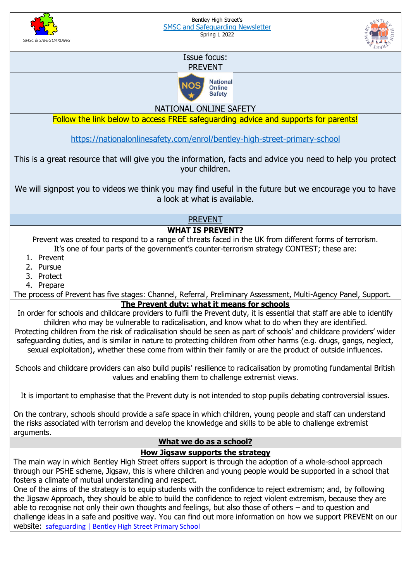



## Issue focus: PREVENT



NATIONAL ONLINE SAFETY

Follow the link below to access FREE safeguarding advice and supports for parents!

<https://nationalonlinesafety.com/enrol/bentley-high-street-primary-school>

This is a great resource that will give you the information, facts and advice you need to help you protect your children.

We will signpost you to videos we think you may find useful in the future but we encourage you to have a look at what is available.

PREVENT

## **WHAT IS PREVENT?**

Prevent was created to respond to a range of threats faced in the UK from different forms of terrorism. It's one of four parts of the government's counter-terrorism strategy CONTEST; these are:

- 1. Prevent
- 2. Pursue
- 3. Protect
- 4. Prepare

The process of Prevent has five stages: Channel, Referral, Preliminary Assessment, Multi-Agency Panel, Support. **The Prevent duty: what it means for schools**

In order for schools and childcare providers to fulfil the Prevent duty, it is essential that staff are able to identify children who may be vulnerable to radicalisation, and know what to do when they are identified. Protecting children from the risk of radicalisation should be seen as part of schools' and childcare providers' wider safeguarding duties, and is similar in nature to protecting children from other harms (e.g. drugs, gangs, neglect,

sexual exploitation), whether these come from within their family or are the product of outside influences.

Schools and childcare providers can also build pupils' resilience to radicalisation by promoting fundamental British values and enabling them to challenge extremist views.

It is important to emphasise that the Prevent duty is not intended to stop pupils debating controversial issues.

On the contrary, schools should provide a safe space in which children, young people and staff can understand the risks associated with terrorism and develop the knowledge and skills to be able to challenge extremist arguments.

## **What we do as a school?**

## **How Jigsaw supports the strategy**

The main way in which Bentley High Street offers support is through the adoption of a whole-school approach through our PSHE scheme, Jigsaw, this is where children and young people would be supported in a school that fosters a climate of mutual understanding and respect.

One of the aims of the strategy is to equip students with the confidence to reject extremism; and, by following the Jigsaw Approach, they should be able to build the confidence to reject violent extremism, because they are able to recognise not only their own thoughts and feelings, but also those of others – and to question and challenge ideas in a safe and positive way. You can find out more information on how we support PREVENt on our website: [safeguarding | Bentley High Street Primary School](https://www.bentleyhighstreet.co.uk/safeguarding/)